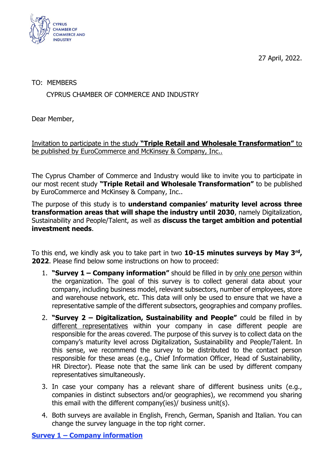27 April, 2022.



## TO: MEMBERS

## CYPRUS CHAMBER OF COMMERCE AND INDUSTRY

Dear Member,

Invitation to participate in the study **"Triple Retail and Wholesale Transformation"** to be published by EuroCommerce and McKinsey & Company, Inc..

The Cyprus Chamber of Commerce and Industry would like to invite you to participate in our most recent study **"Triple Retail and Wholesale Transformation"** to be published by EuroCommerce and McKinsey & Company, Inc..

The purpose of this study is to **understand companies' maturity level across three transformation areas that will shape the industry until 2030**, namely Digitalization, Sustainability and People/Talent, as well as **discuss the target ambition and potential investment needs**.

To this end, we kindly ask you to take part in two **10-15 minutes surveys by May 3rd , 2022**. Please find below some instructions on how to proceed:

- 1. **"Survey 1 – Company information"** should be filled in by only one person within the organization. The goal of this survey is to collect general data about your company, including business model, relevant subsectors, number of employees, store and warehouse network, etc. This data will only be used to ensure that we have a representative sample of the different subsectors, geographies and company profiles.
- 2. **"Survey 2 – Digitalization, Sustainability and People"** could be filled in by different representatives within your company in case different people are responsible for the areas covered. The purpose of this survey is to collect data on the company's maturity level across Digitalization, Sustainability and People/Talent. In this sense, we recommend the survey to be distributed to the contact person responsible for these areas (e.g., Chief Information Officer, Head of Sustainability, HR Director). Please note that the same link can be used by different company representatives simultaneously.
- 3. In case your company has a relevant share of different business units (e.g., companies in distinct subsectors and/or geographies), we recommend you sharing this email with the different company(ies)/ business unit(s).
- 4. Both surveys are available in English, French, German, Spanish and Italian. You can change the survey language in the top right corner.